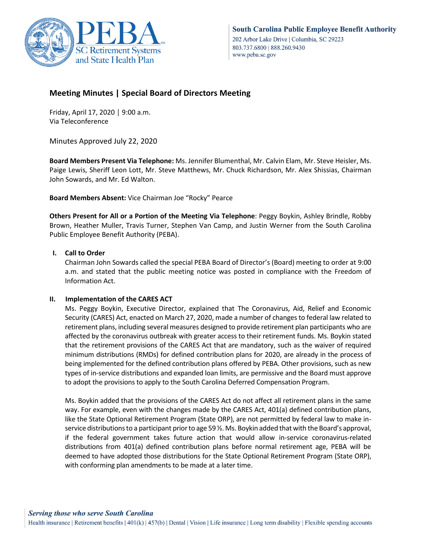

## **Meeting Minutes | Special Board of Directors Meeting**

Friday, April 17, 2020 │ 9:00 a.m. Via Teleconference

Minutes Approved July 22, 2020

**Board Members Present Via Telephone:** Ms. Jennifer Blumenthal, Mr. Calvin Elam, Mr. Steve Heisler, Ms. Paige Lewis, Sheriff Leon Lott, Mr. Steve Matthews, Mr. Chuck Richardson, Mr. Alex Shissias, Chairman John Sowards, and Mr. Ed Walton.

**Board Members Absent:** Vice Chairman Joe "Rocky" Pearce

**Others Present for All or a Portion of the Meeting Via Telephone**: Peggy Boykin, Ashley Brindle, Robby Brown, Heather Muller, Travis Turner, Stephen Van Camp, and Justin Werner from the South Carolina Public Employee Benefit Authority (PEBA).

## **I. Call to Order**

Chairman John Sowards called the special PEBA Board of Director's (Board) meeting to order at 9:00 a.m. and stated that the public meeting notice was posted in compliance with the Freedom of Information Act.

## **II. Implementation of the CARES ACT**

Ms. Peggy Boykin, Executive Director, explained that The Coronavirus, Aid, Relief and Economic Security (CARES) Act, enacted on March 27, 2020, made a number of changes to federal law related to retirement plans, including several measures designed to provide retirement plan participants who are affected by the coronavirus outbreak with greater access to their retirement funds. Ms. Boykin stated that the retirement provisions of the CARES Act that are mandatory, such as the waiver of required minimum distributions (RMDs) for defined contribution plans for 2020, are already in the process of being implemented for the defined contribution plans offered by PEBA. Other provisions, such as new types of in-service distributions and expanded loan limits, are permissive and the Board must approve to adopt the provisions to apply to the South Carolina Deferred Compensation Program.

Ms. Boykin added that the provisions of the CARES Act do not affect all retirement plans in the same way. For example, even with the changes made by the CARES Act, 401(a) defined contribution plans, like the State Optional Retirement Program (State ORP), are not permitted by federal law to make inservice distributions to a participant prior to age 59 ½. Ms. Boykin added that with the Board's approval, if the federal government takes future action that would allow in-service coronavirus-related distributions from 401(a) defined contribution plans before normal retirement age, PEBA will be deemed to have adopted those distributions for the State Optional Retirement Program (State ORP), with conforming plan amendments to be made at a later time.